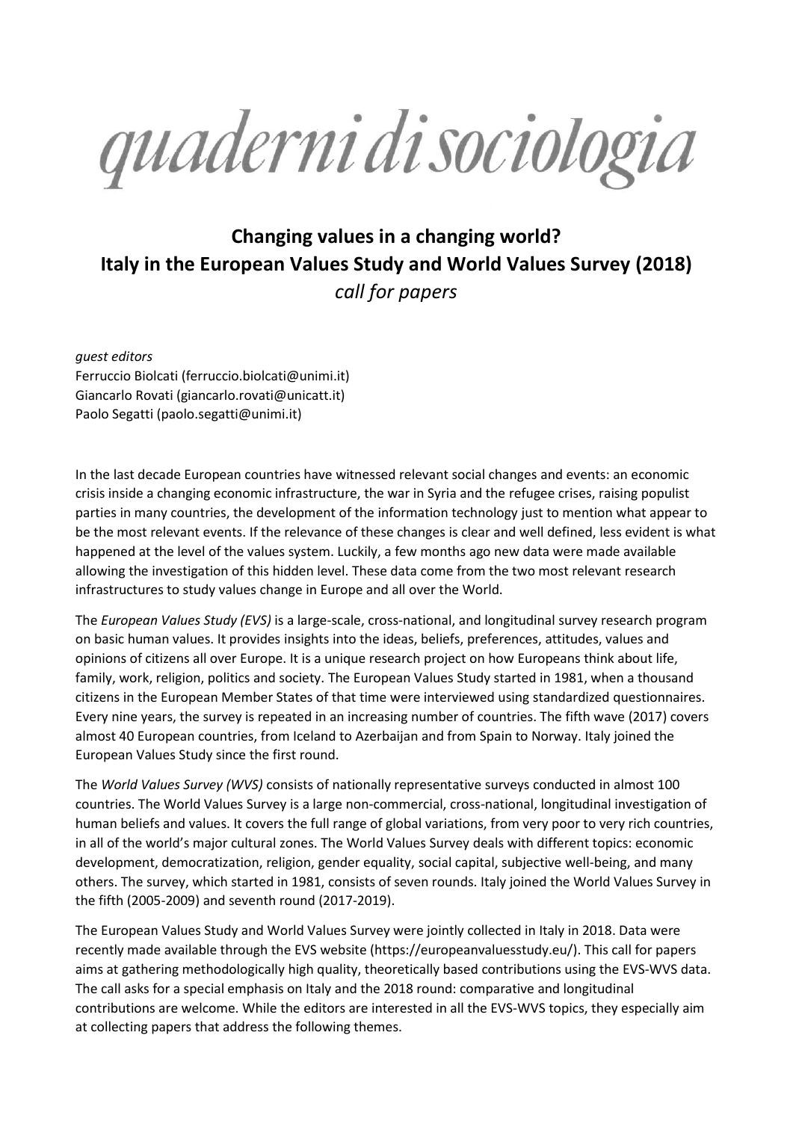quaderni di sociologia

## **Changing values in a changing world? Italy in the European Values Study and World Values Survey (2018)** *call for papers*

*guest editors* Ferruccio Biolcati [\(ferruccio.biolcati@unimi.it\)](mailto:ferruccio.biolcati@unimi.it) Giancarlo Rovati [\(giancarlo.rovati@unicatt.it\)](mailto:giancarlo.rovati@unicatt.it) Paolo Segatti (paolo.segatti@unimi.it)

In the last decade European countries have witnessed relevant social changes and events: an economic crisis inside a changing economic infrastructure, the war in Syria and the refugee crises, raising populist parties in many countries, the development of the information technology just to mention what appear to be the most relevant events. If the relevance of these changes is clear and well defined, less evident is what happened at the level of the values system. Luckily, a few months ago new data were made available allowing the investigation of this hidden level. These data come from the two most relevant research infrastructures to study values change in Europe and all over the World.

The *European Values Study (EVS)* is a large-scale, cross-national, and longitudinal survey research program on basic human values. It provides insights into the ideas, beliefs, preferences, attitudes, values and opinions of citizens all over Europe. It is a unique research project on how Europeans think about life, family, work, religion, politics and society. The European Values Study started in 1981, when a thousand citizens in the European Member States of that time were interviewed using standardized questionnaires. Every nine years, the survey is repeated in an increasing number of countries. The fifth wave (2017) covers almost 40 European countries, from Iceland to Azerbaijan and from Spain to Norway. Italy joined the European Values Study since the first round.

The *World Values Survey (WVS)* consists of nationally representative surveys conducted in almost 100 countries. The World Values Survey is a large non-commercial, cross-national, longitudinal investigation of human beliefs and values. It covers the full range of global variations, from very poor to very rich countries, in all of the world's major cultural zones. The World Values Survey deals with different topics: economic development, democratization, religion, gender equality, social capital, subjective well-being, and many others. The survey, which started in 1981, consists of seven rounds. Italy joined the World Values Survey in the fifth (2005-2009) and seventh round (2017-2019).

The European Values Study and World Values Survey were jointly collected in Italy in 2018. Data were recently made available through the EVS website [\(https://europeanvaluesstudy.eu/\)](https://europeanvaluesstudy.eu/). This call for papers aims at gathering methodologically high quality, theoretically based contributions using the EVS-WVS data. The call asks for a special emphasis on Italy and the 2018 round: comparative and longitudinal contributions are welcome. While the editors are interested in all the EVS-WVS topics, they especially aim at collecting papers that address the following themes.